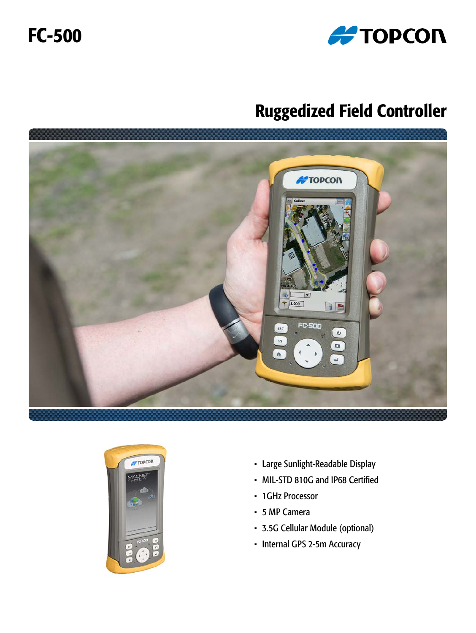

# FC-500

# Ruggedized Field Controller





- Large Sunlight-Readable Display
- MIL-STD 810G and IP68 Certified
- 1GHz Processor
- 5 MP Camera
- 3.5G Cellular Module (optional)
- Internal GPS 2-5m Accuracy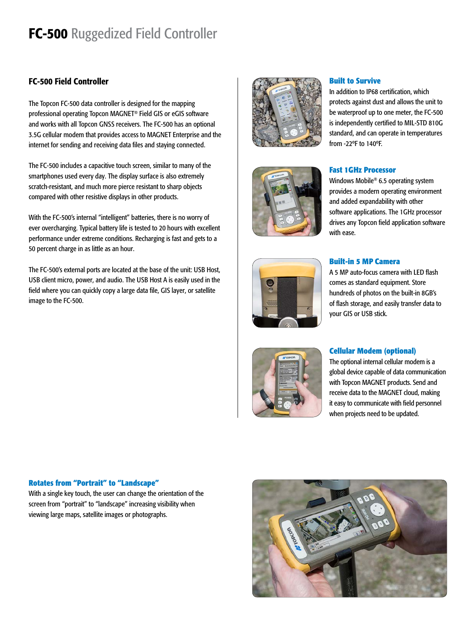## FC-500 Ruggedized Field Controller

### FC-500 Field Controller

The Topcon FC-500 data controller is designed for the mapping professional operating Topcon MAGNET® Field GIS or eGIS software and works with all Topcon GNSS receivers. The FC-500 has an optional 3.5G cellular modem that provides access to MAGNET Enterprise and the internet for sending and receiving data files and staying connected.

The FC-500 includes a capacitive touch screen, similar to many of the smartphones used every day. The display surface is also extremely scratch-resistant, and much more pierce resistant to sharp objects compared with other resistive displays in other products.

With the FC-500's internal "intelligent" batteries, there is no worry of ever overcharging. Typical battery life is tested to 20 hours with excellent performance under extreme conditions. Recharging is fast and gets to a 50 percent charge in as little as an hour.

The FC-500's external ports are located at the base of the unit: USB Host, USB client micro, power, and audio. The USB Host A is easily used in the field where you can quickly copy a large data file, GIS layer, or satellite image to the FC-500.





#### **Built to Survive**

In addition to IP68 certification, which protects against dust and allows the unit to be waterproof up to one meter, the FC-500 is independently certified to MIL-STD 810G standard, and can operate in temperatures from -22ºF to 140ºF.



Windows Mobile® 6.5 operating system provides a modern operating environment and added expandability with other software applications. The 1GHz processor drives any Topcon field application software with ease.



#### **Built-in 5 MP Camera**

A 5 MP auto-focus camera with LED flash comes as standard equipment. Store hundreds of photos on the built-in 8GB's of flash storage, and easily transfer data to your GIS or USB stick.



#### **Cellular Modem (optional)**

The optional internal cellular modem is a global device capable of data communication with Topcon MAGNET products. Send and receive data to the MAGNET cloud, making it easy to communicate with field personnel when projects need to be updated.

#### **Rotates from "Portrait" to "Landscape"**

With a single key touch, the user can change the orientation of the screen from "portrait" to "landscape" increasing visibility when viewing large maps, satellite images or photographs.

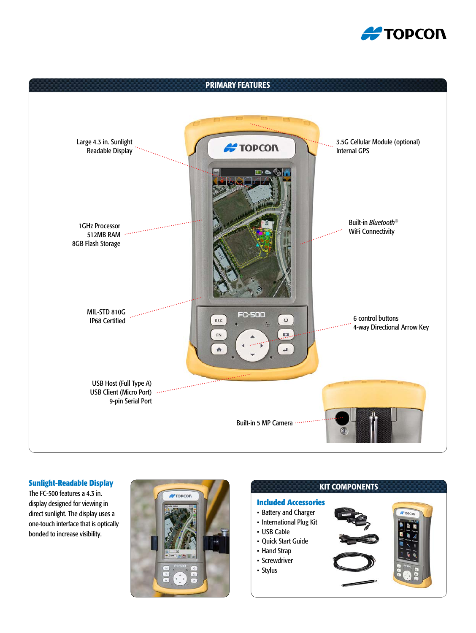![](_page_2_Picture_0.jpeg)

![](_page_2_Figure_1.jpeg)

#### **Sunlight-Readable Display**

The FC-500 features a 4.3 in. display designed for viewing in direct sunlight. The display uses a one-touch interface that is optically bonded to increase visibility.

![](_page_2_Picture_4.jpeg)

![](_page_2_Figure_5.jpeg)